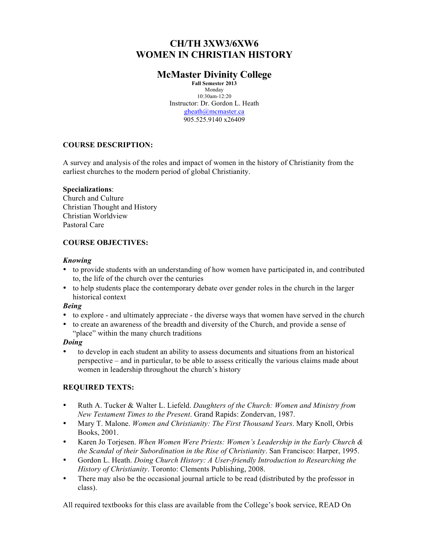# **CH/TH 3XW3/6XW6 WOMEN IN CHRISTIAN HISTORY**

## **McMaster Divinity College**

**Fall Semester 2013** Monday 10:30am-12:20 Instructor: Dr. Gordon L. Heath gheath@mcmaster.ca 905.525.9140 x26409

## **COURSE DESCRIPTION:**

A survey and analysis of the roles and impact of women in the history of Christianity from the earliest churches to the modern period of global Christianity.

### **Specializations**:

Church and Culture Christian Thought and History Christian Worldview Pastoral Care

## **COURSE OBJECTIVES:**

### *Knowing*

- to provide students with an understanding of how women have participated in, and contributed to, the life of the church over the centuries
- to help students place the contemporary debate over gender roles in the church in the larger historical context

## *Being*

- to explore and ultimately appreciate the diverse ways that women have served in the church
- to create an awareness of the breadth and diversity of the Church, and provide a sense of "place" within the many church traditions

### *Doing*

• to develop in each student an ability to assess documents and situations from an historical perspective – and in particular, to be able to assess critically the various claims made about women in leadership throughout the church's history

### **REQUIRED TEXTS:**

- Ruth A. Tucker & Walter L. Liefeld. *Daughters of the Church: Women and Ministry from New Testament Times to the Present*. Grand Rapids: Zondervan, 1987.
- Mary T. Malone. *Women and Christianity: The First Thousand Years*. Mary Knoll, Orbis Books, 2001.
- Karen Jo Torjesen. *When Women Were Priests: Women's Leadership in the Early Church & the Scandal of their Subordination in the Rise of Christianity*. San Francisco: Harper, 1995.
- Gordon L. Heath. *Doing Church History: A User-friendly Introduction to Researching the History of Christianity*. Toronto: Clements Publishing, 2008.
- There may also be the occasional journal article to be read (distributed by the professor in class).

All required textbooks for this class are available from the College's book service, READ On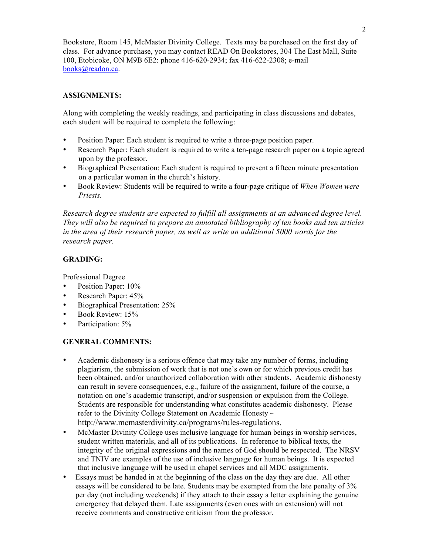Bookstore, Room 145, McMaster Divinity College. Texts may be purchased on the first day of class. For advance purchase, you may contact READ On Bookstores, 304 The East Mall, Suite 100, Etobicoke, ON M9B 6E2: phone 416-620-2934; fax 416-622-2308; e-mail books@readon.ca.

## **ASSIGNMENTS:**

Along with completing the weekly readings, and participating in class discussions and debates, each student will be required to complete the following:

- Position Paper: Each student is required to write a three-page position paper.
- Research Paper: Each student is required to write a ten-page research paper on a topic agreed upon by the professor.
- Biographical Presentation: Each student is required to present a fifteen minute presentation on a particular woman in the church's history.
- Book Review: Students will be required to write a four-page critique of *When Women were Priests.*

*Research degree students are expected to fulfill all assignments at an advanced degree level. They will also be required to prepare an annotated bibliography of ten books and ten articles in the area of their research paper, as well as write an additional 5000 words for the research paper.*

## **GRADING:**

Professional Degree

- Position Paper: 10%
- Research Paper: 45%
- Biographical Presentation: 25%
- Book Review: 15%
- Participation: 5%

### **GENERAL COMMENTS:**

- Academic dishonesty is a serious offence that may take any number of forms, including plagiarism, the submission of work that is not one's own or for which previous credit has been obtained, and/or unauthorized collaboration with other students. Academic dishonesty can result in severe consequences, e.g., failure of the assignment, failure of the course, a notation on one's academic transcript, and/or suspension or expulsion from the College. Students are responsible for understanding what constitutes academic dishonesty. Please refer to the Divinity College Statement on Academic Honesty ~ http://www.mcmasterdivinity.ca/programs/rules-regulations.
- McMaster Divinity College uses inclusive language for human beings in worship services, student written materials, and all of its publications. In reference to biblical texts, the integrity of the original expressions and the names of God should be respected. The NRSV and TNIV are examples of the use of inclusive language for human beings. It is expected that inclusive language will be used in chapel services and all MDC assignments.
- Essays must be handed in at the beginning of the class on the day they are due. All other essays will be considered to be late. Students may be exempted from the late penalty of 3% per day (not including weekends) if they attach to their essay a letter explaining the genuine emergency that delayed them. Late assignments (even ones with an extension) will not receive comments and constructive criticism from the professor.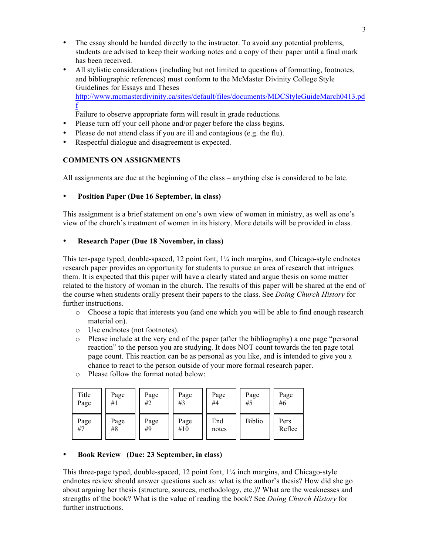- The essay should be handed directly to the instructor. To avoid any potential problems, students are advised to keep their working notes and a copy of their paper until a final mark has been received.
- All stylistic considerations (including but not limited to questions of formatting, footnotes, and bibliographic references) must conform to the McMaster Divinity College Style Guidelines for Essays and Theses http://www.mcmasterdivinity.ca/sites/default/files/documents/MDCStyleGuideMarch0413.pd f

Failure to observe appropriate form will result in grade reductions.

- Please turn off your cell phone and/or pager before the class begins.
- Please do not attend class if you are ill and contagious (e.g. the flu).
- Respectful dialogue and disagreement is expected.

## **COMMENTS ON ASSIGNMENTS**

All assignments are due at the beginning of the class – anything else is considered to be late.

### • **Position Paper (Due 16 September, in class)**

This assignment is a brief statement on one's own view of women in ministry, as well as one's view of the church's treatment of women in its history. More details will be provided in class.

### • **Research Paper (Due 18 November, in class)**

This ten-page typed, double-spaced, 12 point font, 1¼ inch margins, and Chicago-style endnotes research paper provides an opportunity for students to pursue an area of research that intrigues them. It is expected that this paper will have a clearly stated and argue thesis on some matter related to the history of woman in the church. The results of this paper will be shared at the end of the course when students orally present their papers to the class. See *Doing Church History* for further instructions.

- o Choose a topic that interests you (and one which you will be able to find enough research material on).
- o Use endnotes (not footnotes).
- o Please include at the very end of the paper (after the bibliography) a one page "personal reaction" to the person you are studying. It does NOT count towards the ten page total page count. This reaction can be as personal as you like, and is intended to give you a chance to react to the person outside of your more formal research paper.
- o Please follow the format noted below:

| Title | Page | Page | Page | Page  | Page          | Page   |
|-------|------|------|------|-------|---------------|--------|
| Page  | #1   | #2   | #3   | #4    | #5            | #6     |
| Page  | Page | Page | Page | End   | <b>Biblio</b> | Pers   |
| #7    | #8   | #9   | #10  | notes |               | Reflec |

### • **Book Review (Due: 23 September, in class)**

This three-page typed, double-spaced, 12 point font,  $1/4$  inch margins, and Chicago-style endnotes review should answer questions such as: what is the author's thesis? How did she go about arguing her thesis (structure, sources, methodology, etc.)? What are the weaknesses and strengths of the book? What is the value of reading the book? See *Doing Church History* for further instructions.